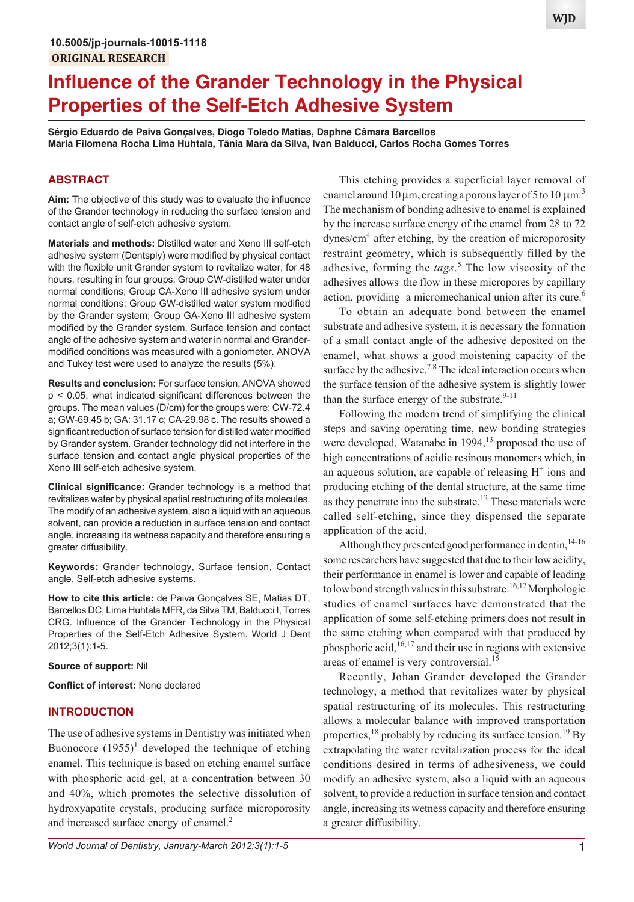# **Influence of the Grander Technology in the Physical Properties of the Self-Etch Adhesive System**

**Sérgio Eduardo de Paiva Gonçalves, Diogo Toledo Matias, Daphne Câmara Barcellos Maria Filomena Rocha Lima Huhtala, Tânia Mara da Silva, Ivan Balducci, Carlos Rocha Gomes Torres**

## **ABSTRACT**

**Aim:** The objective of this study was to evaluate the influence of the Grander technology in reducing the surface tension and contact angle of self-etch adhesive system.

**Materials and methods:** Distilled water and Xeno III self-etch adhesive system (Dentsply) were modified by physical contact with the flexible unit Grander system to revitalize water, for 48 hours, resulting in four groups: Group CW-distilled water under normal conditions; Group CA-Xeno III adhesive system under normal conditions; Group GW-distilled water system modified by the Grander system; Group GA-Xeno III adhesive system modified by the Grander system. Surface tension and contact angle of the adhesive system and water in normal and Grandermodified conditions was measured with a goniometer. ANOVA and Tukey test were used to analyze the results (5%).

**Results and conclusion:** For surface tension, ANOVA showed p < 0.05, what indicated significant differences between the groups. The mean values (D/cm) for the groups were: CW-72.4 a; GW-69.45 b; GA: 31.17 c; CA-29.98 c. The results showed a significant reduction of surface tension for distilled water modified by Grander system. Grander technology did not interfere in the surface tension and contact angle physical properties of the Xeno III self-etch adhesive system.

**Clinical significance:** Grander technology is a method that revitalizes water by physical spatial restructuring of its molecules. The modify of an adhesive system, also a liquid with an aqueous solvent, can provide a reduction in surface tension and contact angle, increasing its wetness capacity and therefore ensuring a greater diffusibility.

**Keywords:** Grander technology, Surface tension, Contact angle, Self-etch adhesive systems.

**How to cite this article:** de Paiva Gonçalves SE, Matias DT, Barcellos DC, Lima Huhtala MFR, da Silva TM, Balducci I, Torres CRG. Influence of the Grander Technology in the Physical Properties of the Self-Etch Adhesive System. World J Dent 2012;3(1):1-5.

#### **Source of support:** Nil

**Conflict of interest:** None declared

## **INTRODUCTION**

The use of adhesive systems in Dentistry was initiated when Buonocore  $(1955)^1$  developed the technique of etching enamel. This technique is based on etching enamel surface with phosphoric acid gel, at a concentration between 30 and 40%, which promotes the selective dissolution of hydroxyapatite crystals, producing surface microporosity and increased surface energy of enamel.<sup>2</sup>

*World Journal of Dentistry, January-March 2012;3(1):1-5* **1**

This etching provides a superficial layer removal of enamel around 10  $\mu$ m, creating a porous layer of 5 to 10  $\mu$ m.<sup>3</sup> The mechanism of bonding adhesive to enamel is explained by the increase surface energy of the enamel from 28 to 72 dynes/cm<sup>4</sup> after etching, by the creation of microporosity restraint geometry, which is subsequently filled by the adhesive, forming the *tags*. 5 The low viscosity of the adhesives allows the flow in these micropores by capillary action, providing a micromechanical union after its cure.<sup>6</sup>

To obtain an adequate bond between the enamel substrate and adhesive system, it is necessary the formation of a small contact angle of the adhesive deposited on the enamel, what shows a good moistening capacity of the surface by the adhesive.<sup>7,8</sup> The ideal interaction occurs when the surface tension of the adhesive system is slightly lower than the surface energy of the substrate. $9-11$ 

Following the modern trend of simplifying the clinical steps and saving operating time, new bonding strategies were developed. Watanabe in  $1994$ ,<sup>13</sup> proposed the use of high concentrations of acidic resinous monomers which, in an aqueous solution, are capable of releasing  $H^+$  ions and producing etching of the dental structure, at the same time as they penetrate into the substrate.<sup>12</sup> These materials were called self-etching, since they dispensed the separate application of the acid.

Although they presented good performance in dentin,<sup>14-16</sup> some researchers have suggested that due to their low acidity, their performance in enamel is lower and capable of leading to low bond strength values in this substrate.<sup>16,17</sup> Morphologic studies of enamel surfaces have demonstrated that the application of some self-etching primers does not result in the same etching when compared with that produced by phosphoric acid,  $16,17$  and their use in regions with extensive areas of enamel is very controversial.<sup>15</sup>

Recently, Johan Grander developed the Grander technology, a method that revitalizes water by physical spatial restructuring of its molecules. This restructuring allows a molecular balance with improved transportation properties, <sup>18</sup> probably by reducing its surface tension.<sup>19</sup> By extrapolating the water revitalization process for the ideal conditions desired in terms of adhesiveness, we could modify an adhesive system, also a liquid with an aqueous solvent, to provide a reduction in surface tension and contact angle, increasing its wetness capacity and therefore ensuring a greater diffusibility.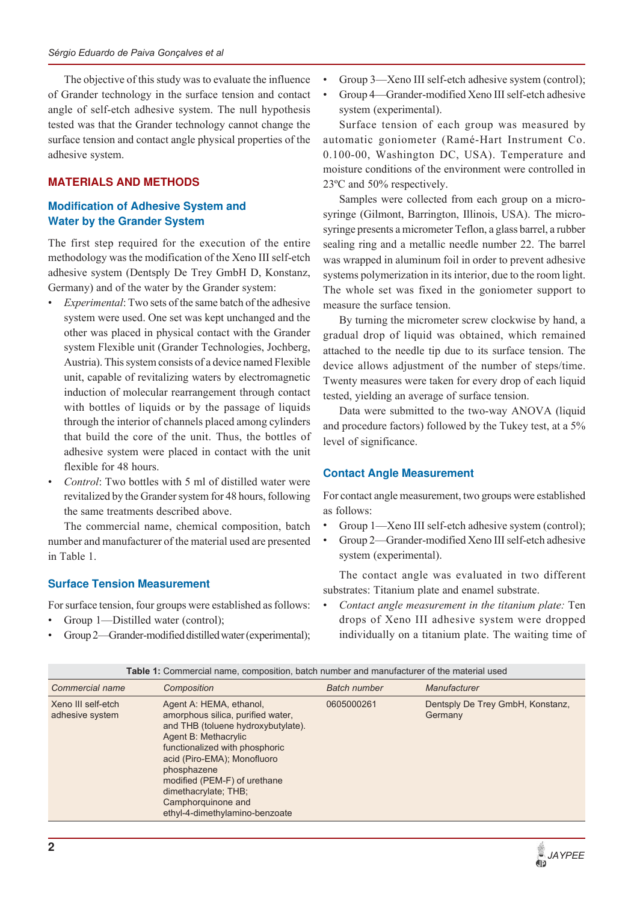The objective of this study was to evaluate the influence of Grander technology in the surface tension and contact angle of self-etch adhesive system. The null hypothesis tested was that the Grander technology cannot change the surface tension and contact angle physical properties of the adhesive system.

## **MATERIALS AND METHODS**

## **Modification of Adhesive System and Water by the Grander System**

The first step required for the execution of the entire methodology was the modification of the Xeno III self-etch adhesive system (Dentsply De Trey GmbH D, Konstanz, Germany) and of the water by the Grander system:

- *Experimental*: Two sets of the same batch of the adhesive system were used. One set was kept unchanged and the other was placed in physical contact with the Grander system Flexible unit (Grander Technologies, Jochberg, Austria). This system consists of a device named Flexible unit, capable of revitalizing waters by electromagnetic induction of molecular rearrangement through contact with bottles of liquids or by the passage of liquids through the interior of channels placed among cylinders that build the core of the unit. Thus, the bottles of adhesive system were placed in contact with the unit flexible for 48 hours.
- *Control*: Two bottles with 5 ml of distilled water were revitalized by the Grander system for 48 hours, following the same treatments described above.

The commercial name, chemical composition, batch number and manufacturer of the material used are presented in Table 1.

## **Surface Tension Measurement**

For surface tension, four groups were established as follows:

- Group 1—Distilled water (control);
- Group 2—Grander-modified distilled water (experimental);
- Group 3—Xeno III self-etch adhesive system (control);
- Group 4—Grander-modified Xeno III self-etch adhesive system (experimental).

Surface tension of each group was measured by automatic goniometer (Ramé-Hart Instrument Co. 0.100-00, Washington DC, USA). Temperature and moisture conditions of the environment were controlled in 23ºC and 50% respectively.

Samples were collected from each group on a microsyringe (Gilmont, Barrington, Illinois, USA). The microsyringe presents a micrometer Teflon, a glass barrel, a rubber sealing ring and a metallic needle number 22. The barrel was wrapped in aluminum foil in order to prevent adhesive systems polymerization in its interior, due to the room light. The whole set was fixed in the goniometer support to measure the surface tension.

By turning the micrometer screw clockwise by hand, a gradual drop of liquid was obtained, which remained attached to the needle tip due to its surface tension. The device allows adjustment of the number of steps/time. Twenty measures were taken for every drop of each liquid tested, yielding an average of surface tension.

Data were submitted to the two-way ANOVA (liquid and procedure factors) followed by the Tukey test, at a 5% level of significance.

## **Contact Angle Measurement**

For contact angle measurement, two groups were established as follows:

- Group 1—Xeno III self-etch adhesive system (control);
- Group 2—Grander-modified Xeno III self-etch adhesive system (experimental).

The contact angle was evaluated in two different substrates: Titanium plate and enamel substrate.

Contact angle measurement in the titanium plate: Ten drops of Xeno III adhesive system were dropped individually on a titanium plate. The waiting time of

| <b>Table 1:</b> Commercial name, composition, batch number and manufacturer of the material used |                                                                                                                                                                                                                                                                                                                            |                     |                                             |  |  |
|--------------------------------------------------------------------------------------------------|----------------------------------------------------------------------------------------------------------------------------------------------------------------------------------------------------------------------------------------------------------------------------------------------------------------------------|---------------------|---------------------------------------------|--|--|
| Commercial name                                                                                  | Composition                                                                                                                                                                                                                                                                                                                | <b>Batch number</b> | Manufacturer                                |  |  |
| Xeno III self-etch<br>adhesive system                                                            | Agent A: HEMA, ethanol,<br>amorphous silica, purified water,<br>and THB (toluene hydroxybutylate).<br>Agent B: Methacrylic<br>functionalized with phosphoric<br>acid (Piro-EMA); Monofluoro<br>phosphazene<br>modified (PEM-F) of urethane<br>dimethacrylate; THB;<br>Camphorquinone and<br>ethyl-4-dimethylamino-benzoate | 0605000261          | Dentsply De Trey GmbH, Konstanz,<br>Germany |  |  |
|                                                                                                  |                                                                                                                                                                                                                                                                                                                            |                     |                                             |  |  |

**Table 1:** Commercial name, composition, batch number and manufacturer of the material used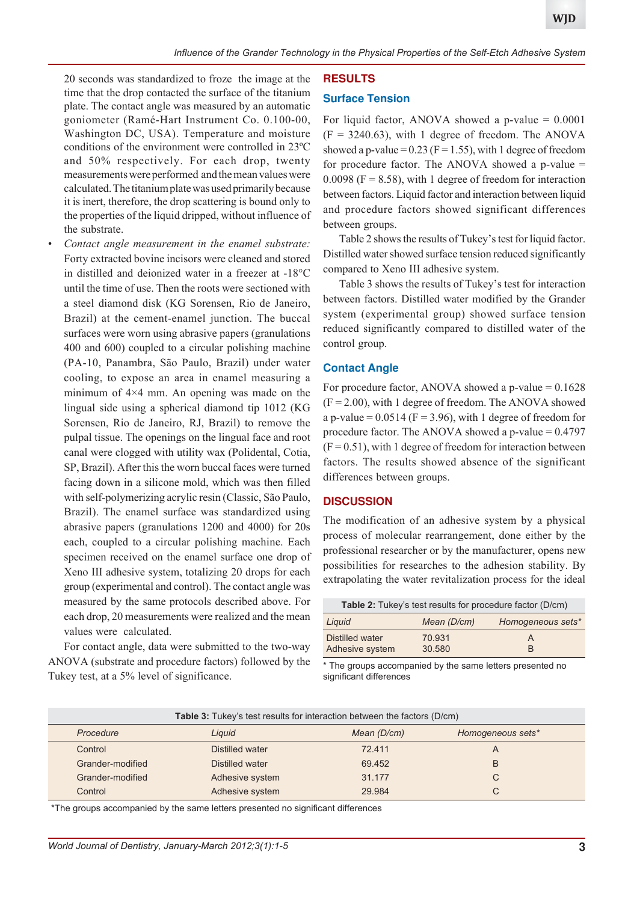20 seconds was standardized to froze the image at the time that the drop contacted the surface of the titanium plate. The contact angle was measured by an automatic goniometer (Ramé-Hart Instrument Co. 0.100-00, Washington DC, USA). Temperature and moisture conditions of the environment were controlled in 23ºC and 50% respectively. For each drop, twenty measurements were performed and the mean values were calculated. The titanium plate was used primarily because it is inert, therefore, the drop scattering is bound only to the properties of the liquid dripped, without influence of the substrate.

Contact angle measurement in the enamel substrate: Forty extracted bovine incisors were cleaned and stored in distilled and deionized water in a freezer at -18°C until the time of use. Then the roots were sectioned with a steel diamond disk (KG Sorensen, Rio de Janeiro, Brazil) at the cement-enamel junction. The buccal surfaces were worn using abrasive papers (granulations 400 and 600) coupled to a circular polishing machine (PA-10, Panambra, São Paulo, Brazil) under water cooling, to expose an area in enamel measuring a minimum of 4×4 mm. An opening was made on the lingual side using a spherical diamond tip 1012 (KG Sorensen, Rio de Janeiro, RJ, Brazil) to remove the pulpal tissue. The openings on the lingual face and root canal were clogged with utility wax (Polidental, Cotia, SP, Brazil). After this the worn buccal faces were turned facing down in a silicone mold, which was then filled with self-polymerizing acrylic resin (Classic, São Paulo, Brazil). The enamel surface was standardized using abrasive papers (granulations 1200 and 4000) for 20s each, coupled to a circular polishing machine. Each specimen received on the enamel surface one drop of Xeno III adhesive system, totalizing 20 drops for each group (experimental and control). The contact angle was measured by the same protocols described above. For each drop, 20 measurements were realized and the mean values were calculated.

For contact angle, data were submitted to the two-way ANOVA (substrate and procedure factors) followed by the Tukey test, at a 5% level of significance.

## **RESULTS**

#### **Surface Tension**

For liquid factor, ANOVA showed a p-value  $= 0.0001$  $(F = 3240.63)$ , with 1 degree of freedom. The ANOVA showed a p-value =  $0.23$  (F = 1.55), with 1 degree of freedom for procedure factor. The ANOVA showed a p-value =  $0.0098$  (F = 8.58), with 1 degree of freedom for interaction between factors. Liquid factor and interaction between liquid and procedure factors showed significant differences between groups.

Table 2 shows the results of Tukey's test for liquid factor. Distilled water showed surface tension reduced significantly compared to Xeno III adhesive system.

Table 3 shows the results of Tukey's test for interaction between factors. Distilled water modified by the Grander system (experimental group) showed surface tension reduced significantly compared to distilled water of the control group.

#### **Contact Angle**

For procedure factor, ANOVA showed a p-value  $= 0.1628$  $(F = 2.00)$ , with 1 degree of freedom. The ANOVA showed a p-value =  $0.0514$  (F = 3.96), with 1 degree of freedom for procedure factor. The ANOVA showed a p-value = 0.4797  $(F = 0.51)$ , with 1 degree of freedom for interaction between factors. The results showed absence of the significant differences between groups.

#### **DISCUSSION**

The modification of an adhesive system by a physical process of molecular rearrangement, done either by the professional researcher or by the manufacturer, opens new possibilities for researches to the adhesion stability. By extrapolating the water revitalization process for the ideal

| <b>Table 2:</b> Tukey's test results for procedure factor (D/cm) |             |                   |  |  |  |
|------------------------------------------------------------------|-------------|-------------------|--|--|--|
| Liquid                                                           | Mean (D/cm) | Homogeneous sets* |  |  |  |
| Distilled water                                                  | 70.931      | A                 |  |  |  |
| Adhesive system                                                  | 30.580      | R                 |  |  |  |

\* The groups accompanied by the same letters presented no significant differences

| <b>Table 3:</b> Tukey's test results for interaction between the factors (D/cm) |                 |             |                   |  |  |
|---------------------------------------------------------------------------------|-----------------|-------------|-------------------|--|--|
| Procedure                                                                       | Liguid          | Mean (D/cm) | Homogeneous sets* |  |  |
| Control                                                                         | Distilled water | 72.411      | A                 |  |  |
| Grander-modified                                                                | Distilled water | 69.452      | B                 |  |  |
| Grander-modified                                                                | Adhesive system | 31.177      | C                 |  |  |
| Control                                                                         | Adhesive system | 29.984      | С                 |  |  |

\*The groups accompanied by the same letters presented no significant differences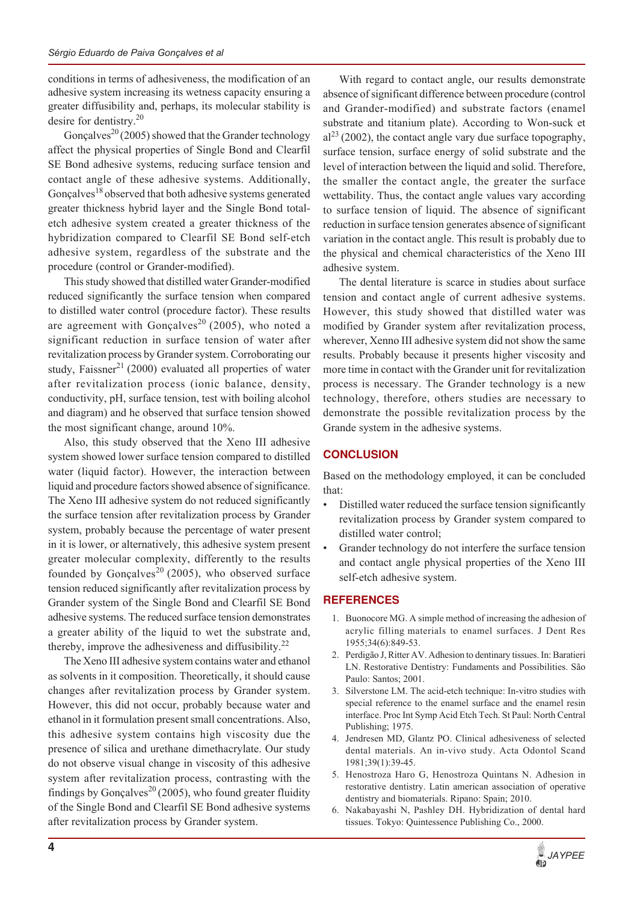conditions in terms of adhesiveness, the modification of an adhesive system increasing its wetness capacity ensuring a greater diffusibility and, perhaps, its molecular stability is desire for dentistry.<sup>20</sup>

Gonçalves<sup>20</sup> (2005) showed that the Grander technology affect the physical properties of Single Bond and Clearfil SE Bond adhesive systems, reducing surface tension and contact angle of these adhesive systems. Additionally, Gonçalves<sup>18</sup> observed that both adhesive systems generated greater thickness hybrid layer and the Single Bond totaletch adhesive system created a greater thickness of the hybridization compared to Clearfil SE Bond self-etch adhesive system, regardless of the substrate and the procedure (control or Grander-modified).

This study showed that distilled water Grander-modified reduced significantly the surface tension when compared to distilled water control (procedure factor). These results are agreement with Gonçalves<sup>20</sup> (2005), who noted a significant reduction in surface tension of water after revitalization process by Grander system. Corroborating our study, Faissner<sup>21</sup> (2000) evaluated all properties of water after revitalization process (ionic balance, density, conductivity, pH, surface tension, test with boiling alcohol and diagram) and he observed that surface tension showed the most significant change, around 10%.

Also, this study observed that the Xeno III adhesive system showed lower surface tension compared to distilled water (liquid factor). However, the interaction between liquid and procedure factors showed absence of significance. The Xeno III adhesive system do not reduced significantly the surface tension after revitalization process by Grander system, probably because the percentage of water present in it is lower, or alternatively, this adhesive system present greater molecular complexity, differently to the results founded by Gonçalves<sup>20</sup> (2005), who observed surface tension reduced significantly after revitalization process by Grander system of the Single Bond and Clearfil SE Bond adhesive systems. The reduced surface tension demonstrates a greater ability of the liquid to wet the substrate and, thereby, improve the adhesiveness and diffusibility.<sup>22</sup>

The Xeno III adhesive system contains water and ethanol as solvents in it composition. Theoretically, it should cause changes after revitalization process by Grander system. However, this did not occur, probably because water and ethanol in it formulation present small concentrations. Also, this adhesive system contains high viscosity due the presence of silica and urethane dimethacrylate. Our study do not observe visual change in viscosity of this adhesive system after revitalization process, contrasting with the findings by Gonçalves<sup>20</sup> (2005), who found greater fluidity of the Single Bond and Clearfil SE Bond adhesive systems after revitalization process by Grander system.

With regard to contact angle, our results demonstrate absence of significant difference between procedure (control and Grander-modified) and substrate factors (enamel substrate and titanium plate). According to Won-suck et  $al^{23}$  (2002), the contact angle vary due surface topography, surface tension, surface energy of solid substrate and the level of interaction between the liquid and solid. Therefore, the smaller the contact angle, the greater the surface wettability. Thus, the contact angle values vary according to surface tension of liquid. The absence of significant reduction in surface tension generates absence of significant variation in the contact angle. This result is probably due to the physical and chemical characteristics of the Xeno III adhesive system.

The dental literature is scarce in studies about surface tension and contact angle of current adhesive systems. However, this study showed that distilled water was modified by Grander system after revitalization process, wherever, Xenno III adhesive system did not show the same results. Probably because it presents higher viscosity and more time in contact with the Grander unit for revitalization process is necessary. The Grander technology is a new technology, therefore, others studies are necessary to demonstrate the possible revitalization process by the Grande system in the adhesive systems.

## **CONCLUSION**

Based on the methodology employed, it can be concluded that:

- Distilled water reduced the surface tension significantly revitalization process by Grander system compared to distilled water control;
- Grander technology do not interfere the surface tension and contact angle physical properties of the Xeno III self-etch adhesive system.

## **REFERENCES**

- 1. Buonocore MG. A simple method of increasing the adhesion of acrylic filling materials to enamel surfaces. J Dent Res 1955;34(6):849-53.
- 2. Perdigão J, Ritter AV. Adhesion to dentinary tissues. In: Baratieri LN. Restorative Dentistry: Fundaments and Possibilities. São Paulo: Santos; 2001.
- Silverstone LM. The acid-etch technique: In-vitro studies with special reference to the enamel surface and the enamel resin interface. Proc Int Symp Acid Etch Tech. St Paul: North Central Publishing; 1975.
- 4. Jendresen MD, Glantz PO. Clinical adhesiveness of selected dental materials. An in-vivo study. Acta Odontol Scand 1981;39(1):39-45.
- 5. Henostroza Haro G, Henostroza Quintans N. Adhesion in restorative dentistry. Latin american association of operative dentistry and biomaterials. Ripano: Spain; 2010.
- 6. Nakabayashi N, Pashley DH. Hybridization of dental hard tissues. Tokyo: Quintessence Publishing Co., 2000.